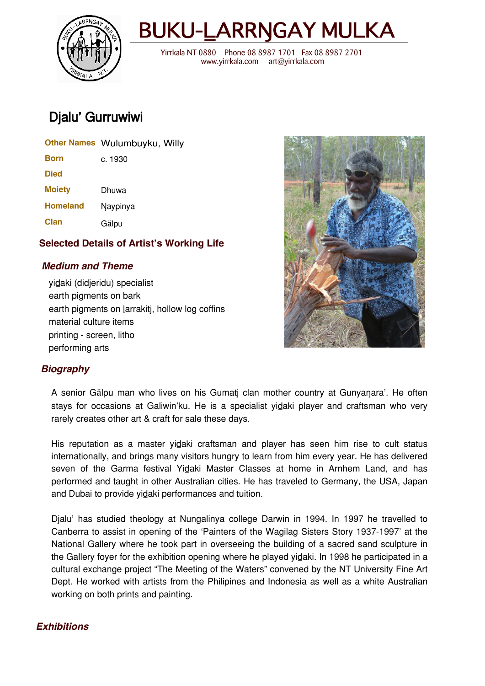



 Yirrkala NT 0880 Phone 08 8987 1701 Fax 08 8987 2701 www.yirrkala.com art@yirrkala.com

# Djalu' Gurruwiwi

|                 | Other Names Wulumbuyku, Willy |
|-----------------|-------------------------------|
| Born            | c. 1930                       |
| <b>Died</b>     |                               |
| <b>Moiety</b>   | Dhuwa                         |
| <b>Homeland</b> | Naypinya                      |
| <b>Clan</b>     | Gälpu                         |
|                 |                               |

## **Selected Details of Artist's Working Life**

## **Medium and Theme**

vidaki (didjeridu) specialist earth pigments on bark earth pigments on larrakitj, hollow log coffins material culture items printing - screen, litho performing arts



## **Biography**

A senior Gälpu man who lives on his Gumati clan mother country at Gunyanara'. He often stays for occasions at Galiwin'ku. He is a specialist yidaki player and craftsman who very rarely creates other art & craft for sale these days.

His reputation as a master yidaki craftsman and player has seen him rise to cult status internationally, and brings many visitors hungry to learn from him every year. He has delivered seven of the Garma festival Yidaki Master Classes at home in Arnhem Land, and has performed and taught in other Australian cities. He has traveled to Germany, the USA, Japan and Dubai to provide yidaki performances and tuition.

Djalu' has studied theology at Nungalinya college Darwin in 1994. In 1997 he travelled to Canberra to assist in opening of the 'Painters of the Wagilag Sisters Story 1937-1997' at the National Gallery where he took part in overseeing the building of a sacred sand sculpture in the Gallery foyer for the exhibition opening where he played yidaki. In 1998 he participated in a cultural exchange project "The Meeting of the Waters" convened by the NT University Fine Art Dept. He worked with artists from the Philipines and Indonesia as well as a white Australian working on both prints and painting.

## **Exhibitions**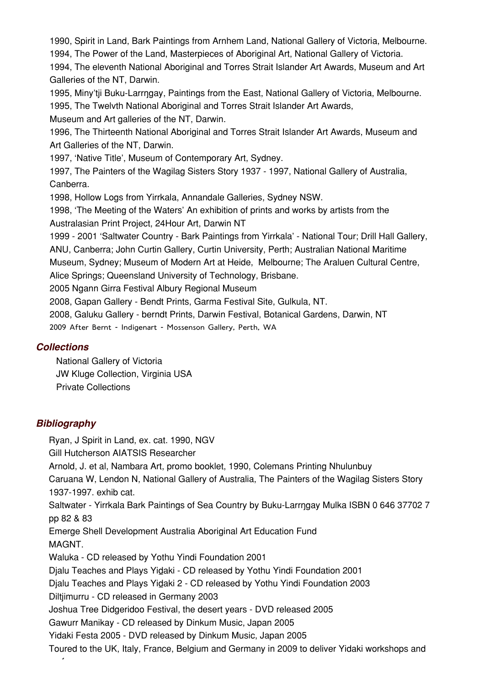1990, Spirit in Land, Bark Paintings from Arnhem Land, National Gallery of Victoria, Melbourne. 1994, The Power of the Land, Masterpieces of Aboriginal Art, National Gallery of Victoria. 1994, The eleventh National Aboriginal and Torres Strait Islander Art Awards, Museum and Art Galleries of the NT, Darwin. 1995, Miny'tii Buku-Larrngay, Paintings from the East, National Gallery of Victoria, Melbourne. 1995, The Twelvth National Aboriginal and Torres Strait Islander Art Awards, Museum and Art galleries of the NT, Darwin. 1996, The Thirteenth National Aboriginal and Torres Strait Islander Art Awards, Museum and Art Galleries of the NT, Darwin. 1997, 'Native Title', Museum of Contemporary Art, Sydney. 1997, The Painters of the Wagilag Sisters Story 1937 - 1997, National Gallery of Australia, Canberra. 1998, Hollow Logs from Yirrkala, Annandale Galleries, Sydney NSW. 1998, 'The Meeting of the Waters' An exhibition of prints and works by artists from the Australasian Print Project, 24Hour Art, Darwin NT 1999 - 2001 'Saltwater Country - Bark Paintings from Yirrkala' - National Tour; Drill Hall Gallery, ANU, Canberra; John Curtin Gallery, Curtin University, Perth; Australian National Maritime Museum, Sydney; Museum of Modern Art at Heide, Melbourne; The Araluen Cultural Centre, Alice Springs; Queensland University of Technology, Brisbane. 2005 Ngann Girra Festival Albury Regional Museum 2008, Gapan Gallery - Bendt Prints, Garma Festival Site, Gulkula, NT. 2008, Galuku Gallery - berndt Prints, Darwin Festival, Botanical Gardens, Darwin, NT 2009 After Bernt - Indigenart - Mossenson Gallery, Perth, WA

#### **Collections**

National Gallery of Victoria JW Kluge Collection, Virginia USA Private Collections

## **Bibliography**

Ryan, J Spirit in Land, ex. cat. 1990, NGV Gill Hutcherson AIATSIS Researcher Arnold, J. et al, Nambara Art, promo booklet, 1990, Colemans Printing Nhulunbuy Caruana W, Lendon N, National Gallery of Australia, The Painters of the Wagilag Sisters Story 1937-1997. exhib cat. Saltwater - Yirrkala Bark Paintings of Sea Country by Buku-Larrngay Mulka ISBN 0 646 37702 7 pp 82 & 83 Emerge Shell Development Australia Aboriginal Art Education Fund MAGNT. Waluka - CD released by Yothu Yindi Foundation 2001 Djalu Teaches and Plays Yidaki - CD released by Yothu Yindi Foundation 2001 Djalu Teaches and Plays Yidaki 2 - CD released by Yothu Yindi Foundation 2003 Diltjimurru - CD released in Germany 2003 Joshua Tree Didgeridoo Festival, the desert years - DVD released 2005 Gawurr Manikay - CD released by Dinkum Music, Japan 2005 Yidaki Festa 2005 - DVD released by Dinkum Music, Japan 2005 Toured to the UK, Italy, France, Belgium and Germany in 2009 to deliver Yidaki workshops and performances.